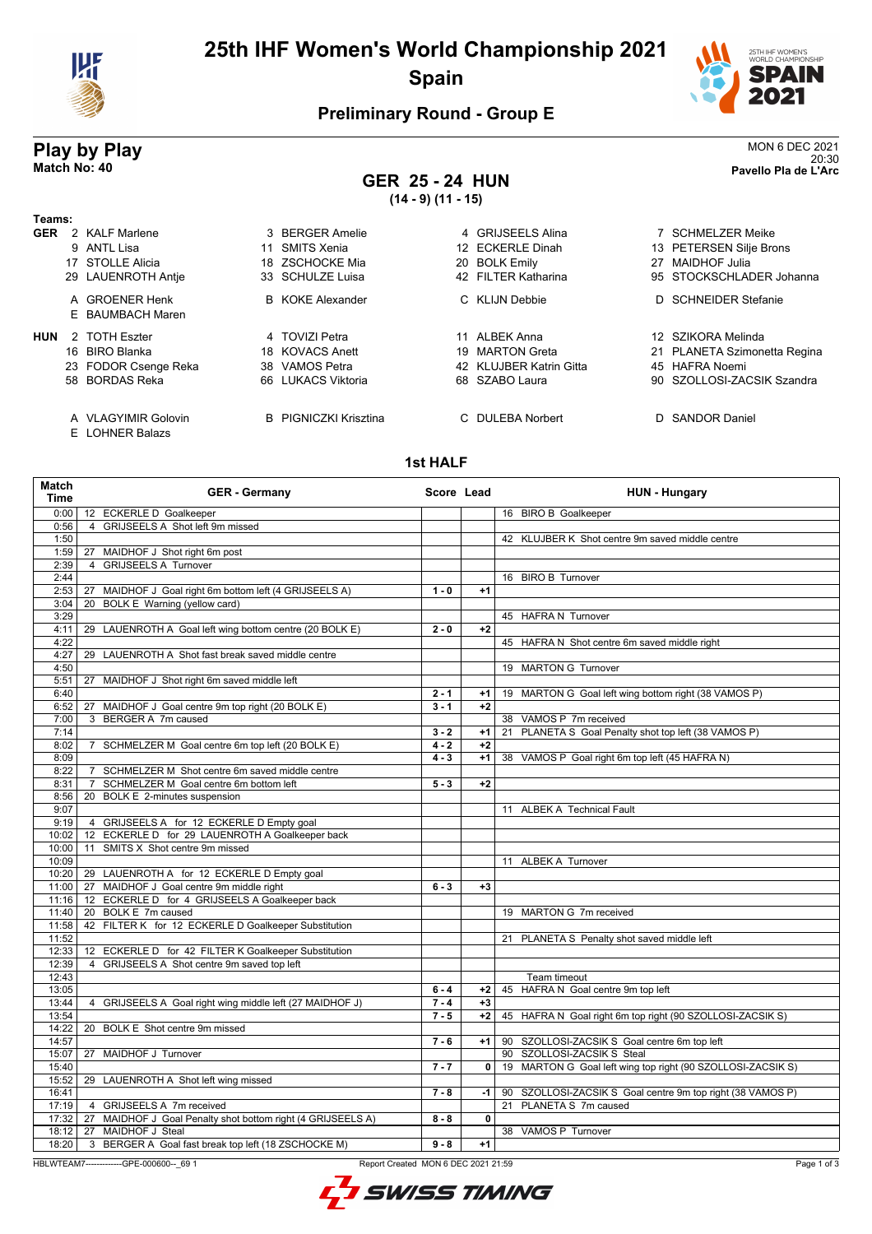

# **25th IHF Women's World Championship 2021 Spain**



20:30 **Match No: 40 Pavello Pla de L'Arc**

## **Preliminary Round - Group E**

# **Play by Play**<br>MON 6 DEC 2021<br>Pavello Pla de L'Arc

**GER 25 - 24 HUN (14 - 9) (11 - 15)**

| Teams:     |                                    |     |                              |                         |                              |
|------------|------------------------------------|-----|------------------------------|-------------------------|------------------------------|
| <b>GER</b> | 2 KALF Marlene                     |     | 3 BERGER Amelie              | 4 GRIJSEELS Alina       | 7 SCHMELZER Meike            |
|            | 9 ANTL Lisa                        |     | 11 SMITS Xenia               | 12 ECKERLE Dinah        | 13 PETERSEN Silje Brons      |
|            | 17 STOLLE Alicia                   |     | 18 ZSCHOCKE Mia              | 20 BOLK Emily           | 27 MAIDHOF Julia             |
|            | 29 LAUENROTH Antie                 |     | 33 SCHULZE Luisa             | 42 FILTER Katharina     | 95 STOCKSCHLADER Johanna     |
|            | A GROENER Henk<br>E BAUMBACH Maren |     | <b>B</b> KOKE Alexander      | C KLIJN Debbie          | D SCHNEIDER Stefanie         |
| <b>HUN</b> | 2 TOTH Eszter                      |     | 4 TOVIZI Petra               | ALBEK Anna              | 12 SZIKORA Melinda           |
|            | 16 BIRO Blanka                     |     | 18 KOVACS Anett              | 19 MARTON Greta         | 21 PLANETA Szimonetta Regina |
|            | 23 FODOR Csenge Reka               | 38. | VAMOS Petra                  | 42 KLUJBER Katrin Gitta | 45 HAFRA Noemi               |
|            | 58 BORDAS Reka                     |     | 66 LUKACS Viktoria           | 68 SZABO Laura          | 90 SZOLLOSI-ZACSIK Szandra   |
|            | A VLAGYIMIR Golovin                |     | <b>B</b> PIGNICZKI Krisztina | C DULEBA Norbert        | D SANDOR Daniel              |

E LOHNER Balazs

#### **1st HALF**

| Match<br><b>Time</b> | <b>GER - Germany</b>                                        | Score Lead |              | <b>HUN - Hungary</b>                                        |
|----------------------|-------------------------------------------------------------|------------|--------------|-------------------------------------------------------------|
| 0:00                 | 12 ECKERLE D Goalkeeper                                     |            |              | 16 BIRO B Goalkeeper                                        |
| 0:56                 | 4 GRIJSEELS A Shot left 9m missed                           |            |              |                                                             |
| 1:50                 |                                                             |            |              | 42 KLUJBER K Shot centre 9m saved middle centre             |
| 1:59                 | MAIDHOF J Shot right 6m post<br>27                          |            |              |                                                             |
| 2:39                 | <b>GRIJSEELS A Turnover</b><br>$\overline{4}$               |            |              |                                                             |
| 2:44                 |                                                             |            |              | 16 BIRO B Turnover                                          |
| 2:53                 | 27 MAIDHOF J Goal right 6m bottom left (4 GRIJSEELS A)      | $1 - 0$    | $+1$         |                                                             |
| 3:04                 | 20 BOLK E Warning (yellow card)                             |            |              |                                                             |
| 3:29                 |                                                             | $2 - 0$    | $+2$         | 45 HAFRA N Turnover                                         |
| 4:11<br>4:22         | 29 LAUENROTH A Goal left wing bottom centre (20 BOLK E)     |            |              | 45 HAFRA N Shot centre 6m saved middle right                |
| 4:27                 | LAUENROTH A Shot fast break saved middle centre<br>29       |            |              |                                                             |
| 4:50                 |                                                             |            |              | 19 MARTON G Turnover                                        |
| 5:51                 | MAIDHOF J Shot right 6m saved middle left<br>27             |            |              |                                                             |
| 6:40                 |                                                             | $2 - 1$    | $+1$         | 19 MARTON G Goal left wing bottom right (38 VAMOS P)        |
| 6:52                 | 27<br>MAIDHOF J Goal centre 9m top right (20 BOLK E)        | $3 - 1$    | $+2$         |                                                             |
| 7:00                 | 3 BERGER A 7m caused                                        |            |              | 38 VAMOS P 7m received                                      |
| 7:14                 |                                                             | $3 - 2$    | $+1$         | PLANETA S Goal Penalty shot top left (38 VAMOS P)<br>21     |
| 8:02                 | 7 SCHMELZER M Goal centre 6m top left (20 BOLK E)           | $4 - 2$    | $+2$         |                                                             |
| 8:09                 |                                                             | $4 - 3$    | $+1$         | 38 VAMOS P Goal right 6m top left (45 HAFRA N)              |
| 8:22                 | 7 SCHMELZER M Shot centre 6m saved middle centre            |            |              |                                                             |
| 8:31                 | SCHMELZER M Goal centre 6m bottom left<br>$\overline{7}$    | $5 - 3$    | $+2$         |                                                             |
| 8:56                 | 20 BOLK E 2-minutes suspension                              |            |              |                                                             |
| 9:07                 |                                                             |            |              | 11 ALBEK A Technical Fault                                  |
| 9:19                 | 4 GRIJSEELS A for 12 ECKERLE D Empty goal                   |            |              |                                                             |
| 10:02                | 12 ECKERLE D for 29 LAUENROTH A Goalkeeper back             |            |              |                                                             |
| 10:00                | 11 SMITS X Shot centre 9m missed                            |            |              |                                                             |
| 10:09                |                                                             |            |              | 11 ALBEK A Turnover                                         |
|                      | 10:20   29 LAUENROTH A for 12 ECKERLE D Empty goal          |            |              |                                                             |
| 11:00                | 27 MAIDHOF J Goal centre 9m middle right                    | $6 - 3$    | $+3$         |                                                             |
| 11:16                | 12 ECKERLE D for 4 GRIJSEELS A Goalkeeper back              |            |              |                                                             |
| 11:40                | 20 BOLK E 7m caused                                         |            |              | 19 MARTON G 7m received                                     |
| 11:58                | 42 FILTER K for 12 ECKERLE D Goalkeeper Substitution        |            |              |                                                             |
| 11:52                |                                                             |            |              | 21 PLANETA S Penalty shot saved middle left                 |
| 12:33                | 12 ECKERLE D for 42 FILTER K Goalkeeper Substitution        |            |              |                                                             |
| 12:39                | 4 GRIJSEELS A Shot centre 9m saved top left                 |            |              |                                                             |
| 12:43<br>13:05       |                                                             | $6 - 4$    | $+2$         | Team timeout<br>45 HAFRA N Goal centre 9m top left          |
| 13:44                |                                                             | $7 - 4$    | $+3$         |                                                             |
| 13:54                | 4 GRIJSEELS A Goal right wing middle left (27 MAIDHOF J)    | $7 - 5$    | $+2$         | 45 HAFRA N Goal right 6m top right (90 SZOLLOSI-ZACSIK S)   |
| 14:22                | 20 BOLK E Shot centre 9m missed                             |            |              |                                                             |
| 14:57                |                                                             | $7 - 6$    | $+1$         | 90 SZOLLOSI-ZACSIK S Goal centre 6m top left                |
| 15:07                | 27 MAIDHOF J Turnover                                       |            |              | 90 SZOLLOSI-ZACSIK S Steal                                  |
| 15:40                |                                                             | $7 - 7$    | $\mathbf{0}$ | 19 MARTON G Goal left wing top right (90 SZOLLOSI-ZACSIK S) |
| 15:52                | 29 LAUENROTH A Shot left wing missed                        |            |              |                                                             |
| 16:41                |                                                             | $7 - 8$    | -1 l         | 90 SZOLLOSI-ZACSIK S Goal centre 9m top right (38 VAMOS P)  |
| 17:19                | 4 GRIJSEELS A 7m received                                   |            |              | 21 PLANETA S 7m caused                                      |
| 17:32                | 27 MAIDHOF J Goal Penalty shot bottom right (4 GRIJSEELS A) | $8 - 8$    | 0            |                                                             |
| 18:12                | <b>MAIDHOF J Steal</b><br>27                                |            |              | 38 VAMOS P Turnover                                         |
| 18:20                | 3 BERGER A Goal fast break top left (18 ZSCHOCKE M)         | $9 - 8$    | $+1$         |                                                             |
|                      |                                                             |            |              |                                                             |

HBLWTEAM7-------------GPE-000600--\_69 1 Report Created MON 6 DEC 2021 21:59

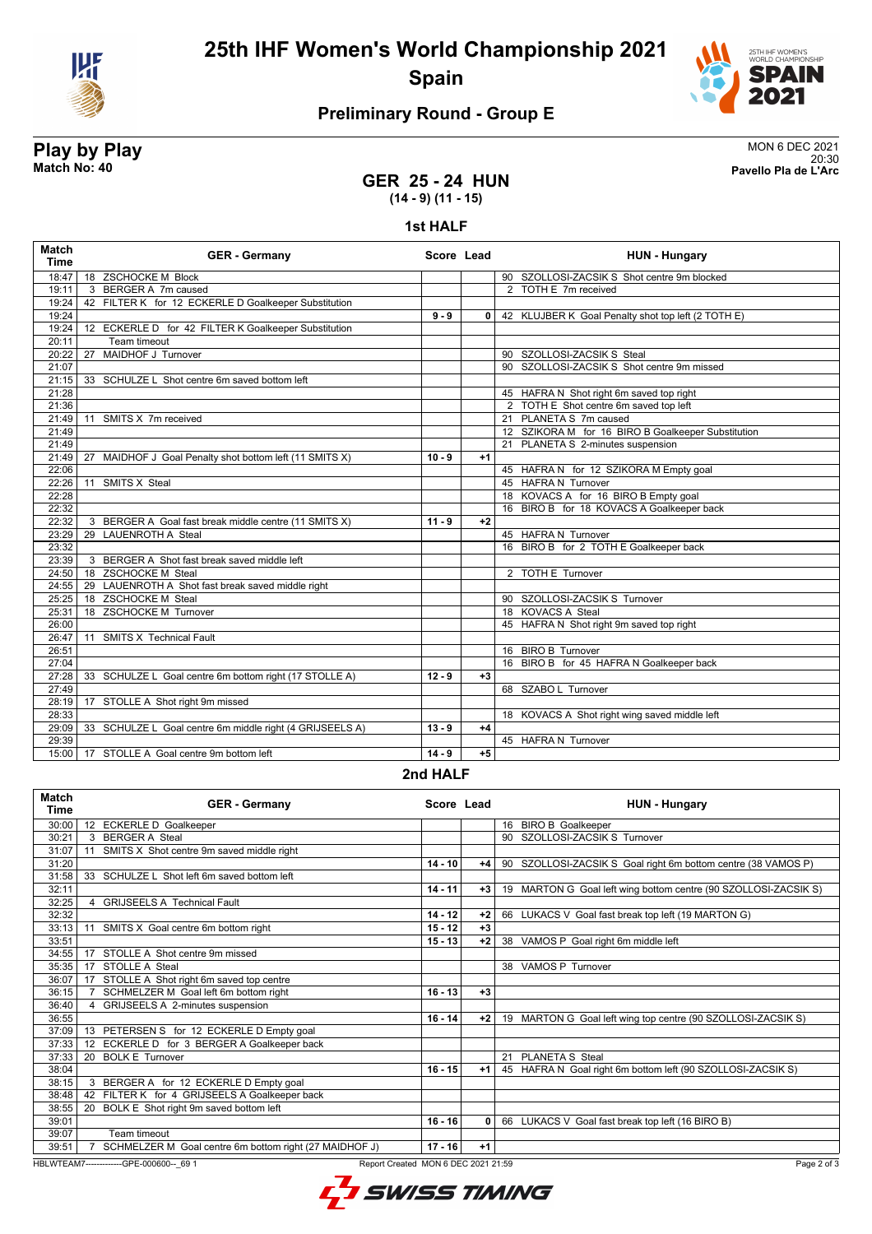

**25th IHF Women's World Championship 2021 Spain**



# **Preliminary Round - Group E**

**Play by Play**<br>MON 6 DEC 2021<br>Pavello Pla de L'Arc 20:30 **Match No: 40 Pavello Pla de L'Arc**

### **GER 25 - 24 HUN (14 - 9) (11 - 15)**

#### **1st HALF**

| <b>Match</b><br><b>Time</b> | <b>GER - Germany</b>                                       | Score Lead |              | <b>HUN - Hungary</b>                               |  |  |
|-----------------------------|------------------------------------------------------------|------------|--------------|----------------------------------------------------|--|--|
| 18:47                       | 18 ZSCHOCKE M Block                                        |            |              | 90 SZOLLOSI-ZACSIK S Shot centre 9m blocked        |  |  |
| 19:11                       | 3 BERGER A 7m caused                                       |            |              | 2 TOTH E 7m received                               |  |  |
| 19:24                       | 42 FILTER K for 12 ECKERLE D Goalkeeper Substitution       |            |              |                                                    |  |  |
| 19:24                       |                                                            | $9 - 9$    | $\mathbf{0}$ | 42 KLUJBER K Goal Penalty shot top left (2 TOTH E) |  |  |
| 19:24                       | 12 ECKERLE D for 42 FILTER K Goalkeeper Substitution       |            |              |                                                    |  |  |
| 20:11                       | Team timeout                                               |            |              |                                                    |  |  |
| 20:22                       | MAIDHOF J Turnover<br>27                                   |            |              | 90 SZOLLOSI-ZACSIK S Steal                         |  |  |
| 21:07                       |                                                            |            |              | 90 SZOLLOSI-ZACSIK S Shot centre 9m missed         |  |  |
| 21:15                       | 33 SCHULZE L Shot centre 6m saved bottom left              |            |              |                                                    |  |  |
| 21:28                       |                                                            |            |              | 45 HAFRAN Shot right 6m saved top right            |  |  |
| 21:36                       |                                                            |            |              | 2 TOTH E Shot centre 6m saved top left             |  |  |
| 21:49                       | 11 SMITS X 7m received                                     |            |              | 21 PLANETA S 7m caused                             |  |  |
| 21:49                       |                                                            |            |              | 12 SZIKORA M for 16 BIRO B Goalkeeper Substitution |  |  |
| 21:49                       |                                                            |            |              | 21 PLANETA S 2-minutes suspension                  |  |  |
| 21:49                       | MAIDHOF J Goal Penalty shot bottom left (11 SMITS X)<br>27 | $10 - 9$   | $+1$         |                                                    |  |  |
| 22:06                       |                                                            |            |              | 45 HAFRA N for 12 SZIKORA M Empty goal             |  |  |
| 22:26                       | SMITS X Steal<br>11                                        |            |              | 45 HAFRA N Turnover                                |  |  |
| 22:28                       |                                                            |            |              | 18 KOVACS A for 16 BIRO B Empty goal               |  |  |
| 22:32                       |                                                            |            |              | 16 BIRO B for 18 KOVACS A Goalkeeper back          |  |  |
| 22:32                       | 3 BERGER A Goal fast break middle centre (11 SMITS X)      | $11 - 9$   | $+2$         |                                                    |  |  |
| 23:29                       | 29 LAUENROTH A Steal                                       |            |              | 45 HAFRA N Turnover                                |  |  |
| 23:32                       |                                                            |            |              | 16 BIRO B for 2 TOTH E Goalkeeper back             |  |  |
| 23:39                       | 3 BERGER A Shot fast break saved middle left               |            |              |                                                    |  |  |
| 24:50                       | 18 ZSCHOCKE M Steal                                        |            |              | 2 TOTH E Turnover                                  |  |  |
| 24:55                       | 29 LAUENROTH A Shot fast break saved middle right          |            |              |                                                    |  |  |
| 25:25                       | <b>ZSCHOCKE M Steal</b><br>18                              |            |              | 90 SZOLLOSI-ZACSIK S Turnover                      |  |  |
| 25:31                       | 18 ZSCHOCKE M Turnover                                     |            |              | 18 KOVACS A Steal                                  |  |  |
| 26:00                       |                                                            |            |              | 45 HAFRA N Shot right 9m saved top right           |  |  |
| 26:47                       | <b>SMITS X Technical Fault</b><br>11                       |            |              |                                                    |  |  |
| 26:51                       |                                                            |            |              | 16 BIRO B Turnover                                 |  |  |
| 27:04                       |                                                            |            |              | 16 BIRO B for 45 HAFRA N Goalkeeper back           |  |  |
| 27:28                       | 33 SCHULZE L Goal centre 6m bottom right (17 STOLLE A)     | $12 - 9$   | $+3$         |                                                    |  |  |
| 27:49                       |                                                            |            |              | 68 SZABO L Turnover                                |  |  |
| 28:19                       | 17 STOLLE A Shot right 9m missed                           |            |              |                                                    |  |  |
| 28:33                       |                                                            |            |              | 18 KOVACS A Shot right wing saved middle left      |  |  |
| 29:09                       | 33 SCHULZE L Goal centre 6m middle right (4 GRIJSEELS A)   | $13 - 9$   | $+4$         |                                                    |  |  |
| 29:39                       |                                                            |            |              | 45 HAFRA N Turnover                                |  |  |
| 15:00                       | 17 STOLLE A Goal centre 9m bottom left                     | $14 - 9$   | $+5$         |                                                    |  |  |
|                             | $0.4$ HALE                                                 |            |              |                                                    |  |  |

**2nd HALF**

| <b>Match</b><br><b>Time</b> | <b>GER - Germany</b>                                   | Score Lead |      | <b>HUN - Hungary</b>                                            |
|-----------------------------|--------------------------------------------------------|------------|------|-----------------------------------------------------------------|
| 30:00                       | 12 ECKERLE D Goalkeeper                                |            |      | 16 BIRO B Goalkeeper                                            |
| 30:21                       | 3 BERGER A Steal                                       |            |      | SZOLLOSI-ZACSIK S Turnover<br>90                                |
| 31:07                       | SMITS X Shot centre 9m saved middle right<br>11        |            |      |                                                                 |
| 31:20                       |                                                        | $14 - 10$  | $+4$ | 90 SZOLLOSI-ZACSIK S Goal right 6m bottom centre (38 VAMOS P)   |
| 31:58                       | 33 SCHULZE L Shot left 6m saved bottom left            |            |      |                                                                 |
| 32:11                       |                                                        | $14 - 11$  | $+3$ | 19 MARTON G Goal left wing bottom centre (90 SZOLLOSI-ZACSIK S) |
| 32:25                       | 4 GRIJSEELS A Technical Fault                          |            |      |                                                                 |
| 32:32                       |                                                        | $14 - 12$  | $+2$ | 66 LUKACS V Goal fast break top left (19 MARTON G)              |
| 33:13                       | SMITS X Goal centre 6m bottom right<br>11              | $15 - 12$  | $+3$ |                                                                 |
| 33:51                       |                                                        | $15 - 13$  | $+2$ | 38 VAMOS P Goal right 6m middle left                            |
| 34:55                       | STOLLE A Shot centre 9m missed<br>17                   |            |      |                                                                 |
| 35:35                       | STOLLE A Steal<br>17                                   |            |      | 38 VAMOS P Turnover                                             |
| 36:07                       | STOLLE A Shot right 6m saved top centre<br>17          |            |      |                                                                 |
| 36:15                       | SCHMELZER M Goal left 6m bottom right                  | $16 - 13$  | $+3$ |                                                                 |
| 36:40                       | 4 GRIJSEELS A 2-minutes suspension                     |            |      |                                                                 |
| 36:55                       |                                                        | $16 - 14$  | $+2$ | 19 MARTON G Goal left wing top centre (90 SZOLLOSI-ZACSIK S)    |
| 37:09                       | PETERSEN S for 12 ECKERLE D Empty goal<br>13           |            |      |                                                                 |
| 37:33                       | ECKERLE D for 3 BERGER A Goalkeeper back<br>12         |            |      |                                                                 |
| 37:33                       | <b>BOLK E Turnover</b><br>20                           |            |      | 21 PLANETA S Steal                                              |
| 38:04                       |                                                        | $16 - 15$  | $+1$ | 45 HAFRA N Goal right 6m bottom left (90 SZOLLOSI-ZACSIK S)     |
| 38:15                       | 3 BERGER A for 12 ECKERLE D Empty goal                 |            |      |                                                                 |
| 38:48                       | FILTER K for 4 GRIJSEELS A Goalkeeper back<br>42       |            |      |                                                                 |
| 38:55                       | BOLK E Shot right 9m saved bottom left<br>20           |            |      |                                                                 |
| 39:01                       |                                                        | $16 - 16$  | 0    | 66 LUKACS V Goal fast break top left (16 BIRO B)                |
| 39:07                       | Team timeout                                           |            |      |                                                                 |
| 39:51                       | SCHMELZER M Goal centre 6m bottom right (27 MAIDHOF J) | $17 - 16$  | $+1$ |                                                                 |

HBLWTEAM7-------------GPE-000600--\_69 1 Report Created MON 6 DEC 2021 21:59